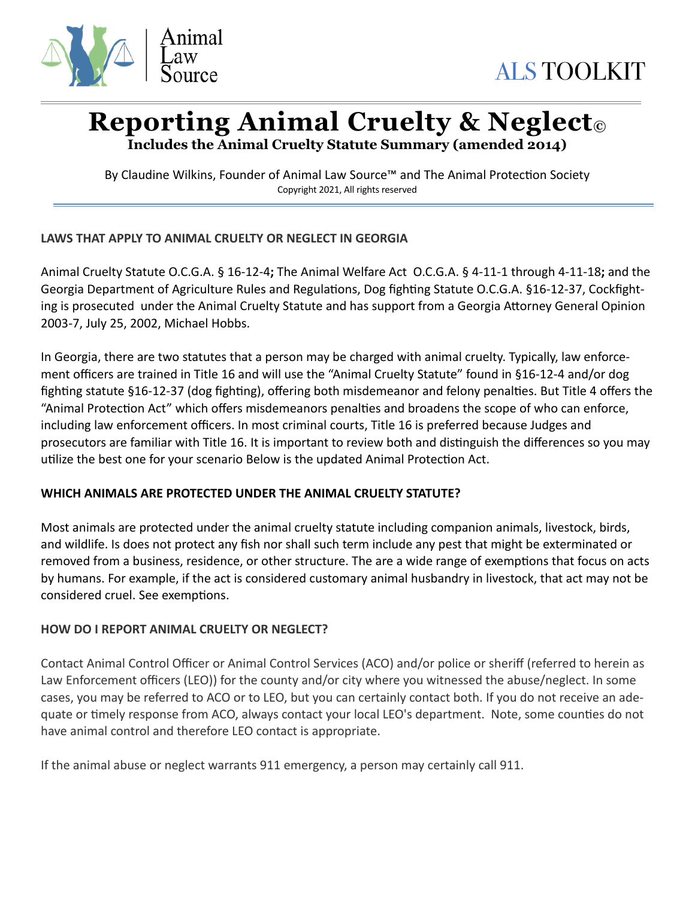

# **Reporting Animal Cruelty & Neglect©**

**Includes the Animal Cruelty Statute Summary (amended 2014)** 

By Claudine Wilkins, Founder of Animal Law Source™ and The Animal Protection Society Copyright 2021, All rights reserved

# **LAWS THAT APPLY TO ANIMAL CRUELTY OR NEGLECT IN GEORGIA**

Animal Cruelty Statute O.C.G.A. § 16-12-4**;** The Animal Welfare Act O.C.G.A. § 4-11-1 through 4-11-18**;** and the Georgia Department of Agriculture Rules and Regulations, Dog fighting Statute O.C.G.A. §16-12-37, Cockfighting is prosecuted under the Animal Cruelty Statute and has support from a Georgia Attorney General Opinion 2003-7, July 25, 2002, Michael Hobbs.

In Georgia, there are two statutes that a person may be charged with animal cruelty. Typically, law enforcement officers are trained in Title 16 and will use the "Animal Cruelty Statute" found in §16-12-4 and/or dog fighting statute §16-12-37 (dog fighting), offering both misdemeanor and felony penalties. But Title 4 offers the "Animal Protection Act" which offers misdemeanors penalties and broadens the scope of who can enforce, including law enforcement officers. In most criminal courts, Title 16 is preferred because Judges and prosecutors are familiar with Title 16. It is important to review both and distinguish the differences so you may utilize the best one for your scenario Below is the updated Animal Protection Act.

# **WHICH ANIMALS ARE PROTECTED UNDER THE ANIMAL CRUELTY STATUTE?**

Most animals are protected under the animal cruelty statute including companion animals, livestock, birds, and wildlife. Is does not protect any fish nor shall such term include any pest that might be exterminated or removed from a business, residence, or other structure. The are a wide range of exemptions that focus on acts by humans. For example, if the act is considered customary animal husbandry in livestock, that act may not be considered cruel. See exemptions.

# **HOW DO I REPORT ANIMAL CRUELTY OR NEGLECT?**

Contact Animal Control Officer or Animal Control Services (ACO) and/or police or sheriff (referred to herein as Law Enforcement officers (LEO)) for the county and/or city where you witnessed the abuse/neglect. In some cases, you may be referred to ACO or to LEO, but you can certainly contact both. If you do not receive an adequate or timely response from ACO, always contact your local LEO's department. Note, some counties do not have animal control and therefore LEO contact is appropriate.

If the animal abuse or neglect warrants 911 emergency, a person may certainly call 911.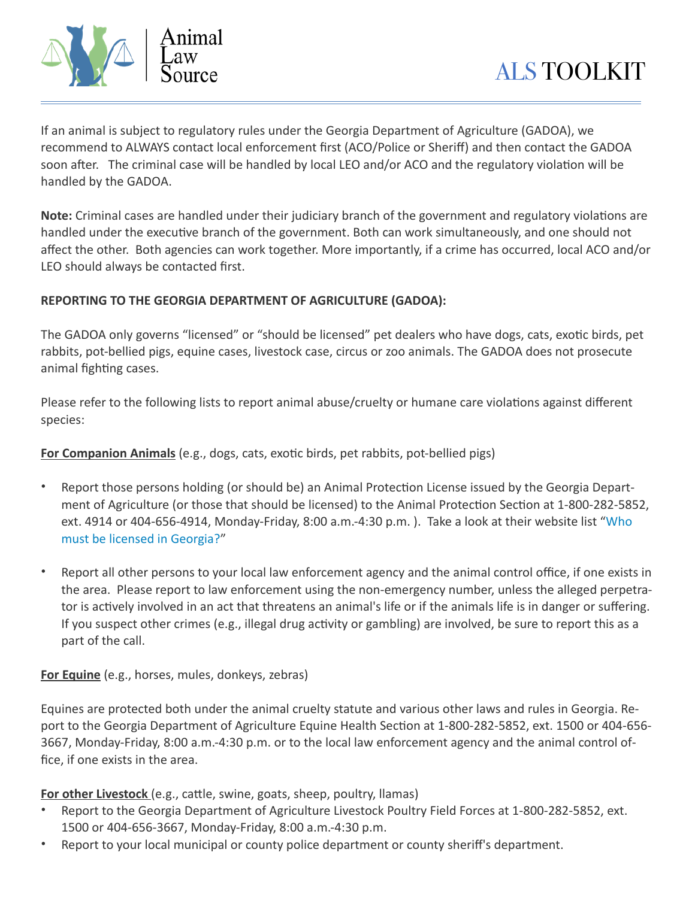

If an animal is subject to regulatory rules under the Georgia Department of Agriculture (GADOA), we recommend to ALWAYS contact local enforcement first (ACO/Police or Sheriff) and then contact the GADOA soon after. The criminal case will be handled by local LEO and/or ACO and the regulatory violation will be handled by the GADOA.

**Note:** Criminal cases are handled under their judiciary branch of the government and regulatory violations are handled under the executive branch of the government. Both can work simultaneously, and one should not affect the other. Both agencies can work together. More importantly, if a crime has occurred, local ACO and/or LEO should always be contacted first.

#### **REPORTING TO THE GEORGIA DEPARTMENT OF AGRICULTURE (GADOA):**

The GADOA only governs "licensed" or "should be licensed" pet dealers who have dogs, cats, exotic birds, pet rabbits, pot-bellied pigs, equine cases, livestock case, circus or zoo animals. The GADOA does not prosecute animal fighting cases.

Please refer to the following lists to report animal abuse/cruelty or humane care violations against different species:

**For Companion Animals** (e.g., dogs, cats, exotic birds, pet rabbits, pot-bellied pigs)

- Report those persons holding (or should be) an Animal Protection License issued by the Georgia Department of Agriculture (or those that should be licensed) to the Animal Protection Section at 1-800-282-5852, ext. 4914 or 404-656-4914, Monday-Friday, 8:00 a.m.-4:30 p.m. ). Take a look at their website list "[Who](http://agr.georgia.gov/who-is-required-to-be-licensed.aspx)  [must be licensed in Georgia?](http://agr.georgia.gov/who-is-required-to-be-licensed.aspx)"
- Report all other persons to your local law enforcement agency and the animal control office, if one exists in the area. Please report to law enforcement using the non-emergency number, unless the alleged perpetrator is actively involved in an act that threatens an animal's life or if the animals life is in danger or suffering. If you suspect other crimes (e.g., illegal drug activity or gambling) are involved, be sure to report this as a part of the call.

**For Equine** (e.g., horses, mules, donkeys, zebras)

Equines are protected both under the animal cruelty statute and various other laws and rules in Georgia. Report to the Georgia Department of Agriculture Equine Health Section at 1-800-282-5852, ext. 1500 or 404-656-3667, Monday-Friday, 8:00 a.m.-4:30 p.m. or to the local law enforcement agency and the animal control office, if one exists in the area.

**For other Livestock** (e.g., cattle, swine, goats, sheep, poultry, llamas)

- Report to the Georgia Department of Agriculture Livestock Poultry Field Forces at 1-800-282-5852, ext. 1500 or 404-656-3667, Monday-Friday, 8:00 a.m.-4:30 p.m.
- Report to your local municipal or county police department or county sheriff's department.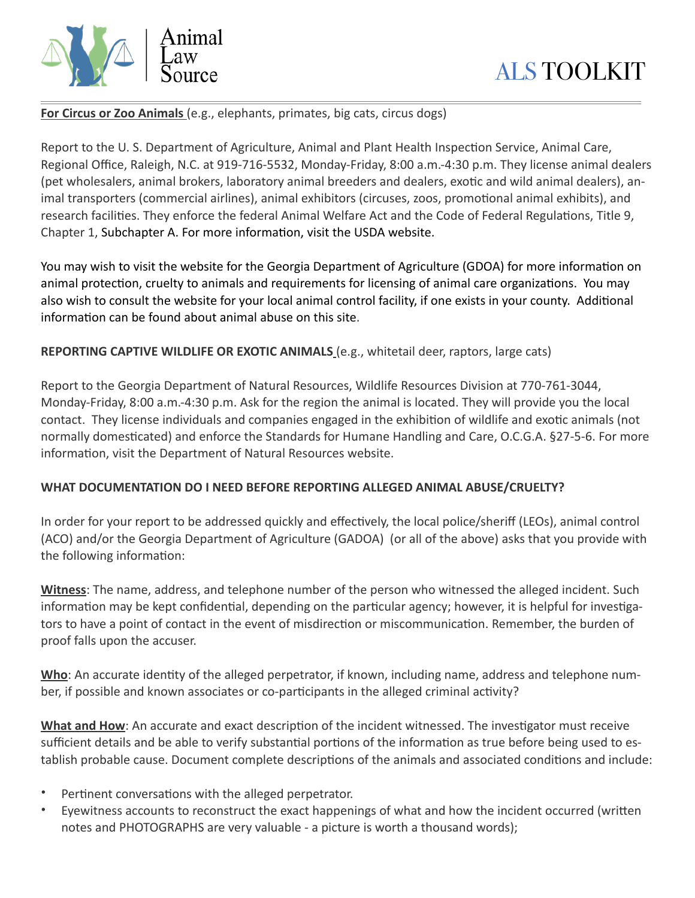

**For Circus or Zoo Animals** (e.g., elephants, primates, big cats, circus dogs)

Report to the U. S. Department of Agriculture, Animal and Plant Health Inspection Service, Animal Care, Regional Office, Raleigh, N.C. at 919-716-5532, Monday-Friday, 8:00 a.m.-4:30 p.m. They license animal dealers (pet wholesalers, animal brokers, laboratory animal breeders and dealers, exotic and wild animal dealers), animal transporters (commercial airlines), animal exhibitors (circuses, zoos, promotional animal exhibits), and research facilities. They enforce the federal Animal Welfare Act and the Code of Federal Regulations, Title 9, Chapter 1, Subchapter A. For more information, visit the USDA website.

You may wish to visit the website for the Georgia Department of Agriculture (GDOA) for more informatio[n](http://agr.georgia.gov/animal-protection-faqs.aspx) on animal protection, [cruelty to animals](http://agr.georgia.gov/animal-cruelty-faqs.aspx) and requirements for licensing of animal care organizations. You may also wish to consult the website for your local animal control facility, if one exists in your county. Additional information can be found about animal abuse on this site.

**REPORTING CAPTIVE WILDLIFE OR EXOTIC ANIMALS** (e.g., whitetail deer, raptors, large cats)

Report to the Georgia Department of Natural Resources, Wildlife Resources Division at 770-761-3044, Monday-Friday, 8:00 a.m.-4:30 p.m. Ask for the region the animal is located. They will provide you the local contact. They license individuals and companies engaged in the exhibition of wildlife and exotic animals (not normally domesticated) and enforce the Standards for Humane Handling and Care, O.C.G.A. §27-5-6. For more information, visit the Department of Natural Resources website.

# **WHAT DOCUMENTATION DO I NEED BEFORE REPORTING ALLEGED ANIMAL ABUSE/CRUELTY?**

In order for your report to be addressed quickly and effectively, the local police/sheriff (LEOs), animal control (ACO) and/or the Georgia Department of Agriculture (GADOA) (or all of the above) asks that you provide with the following information:

**Witness**: The name, address, and telephone number of the person who witnessed the alleged incident. Such information may be kept confidential, depending on the particular agency; however, it is helpful for investigators to have a point of contact in the event of misdirection or miscommunication. Remember, the burden of proof falls upon the accuser.

**Who**: An accurate identity of the alleged perpetrator, if known, including name, address and telephone number, if possible and known associates or co-participants in the alleged criminal activity?

**What and How**: An accurate and exact description of the incident witnessed. The investigator must receive sufficient details and be able to verify substantial portions of the information as true before being used to establish probable cause. Document complete descriptions of the animals and associated conditions and include:

- Pertinent conversations with the alleged perpetrator.
- Eyewitness accounts to reconstruct the exact happenings of what and how the incident occurred (written notes and PHOTOGRAPHS are very valuable - a picture is worth a thousand words);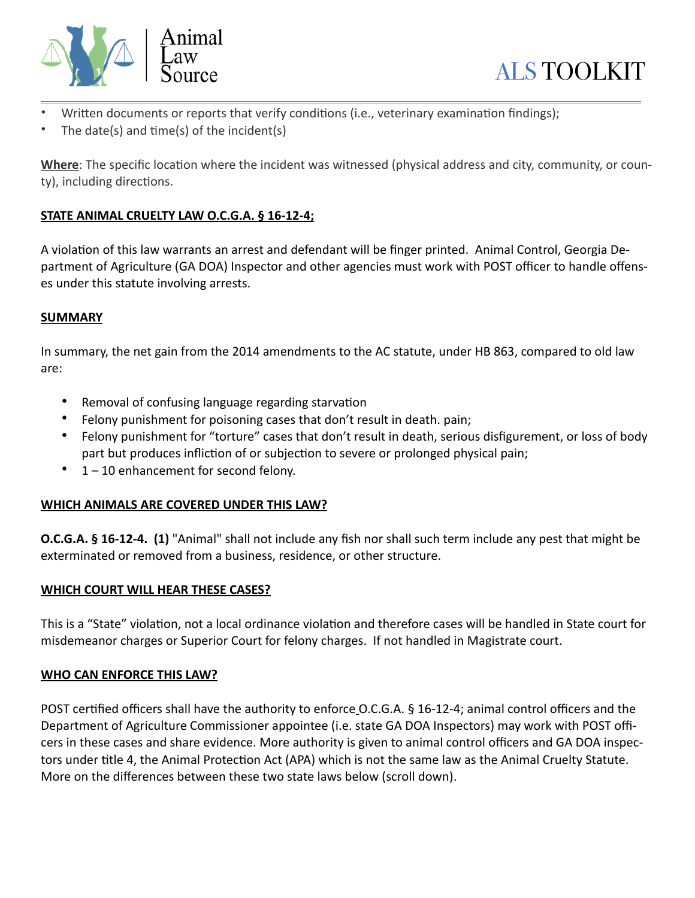



- Written documents or reports that verify conditions (i.e., veterinary examination findings);
- The date(s) and time(s) of the incident(s)

**Where**: The specific location where the incident was witnessed (physical address and city, community, or county), including directions.

# **STATE ANIMAL CRUELTY LAW O.C.G.A. § 16-12-4;**

A violation of this law warrants an arrest and defendant will be finger printed. Animal Control, Georgia Department of Agriculture (GA DOA) Inspector and other agencies must work with POST officer to handle offenses under this statute involving arrests.

# **SUMMARY**

In summary, the net gain from the 2014 amendments to the AC statute, under HB 863, compared to old law are:

- Removal of confusing language regarding starvation
- Felony punishment for poisoning cases that don't result in death. pain;
- Felony punishment for "torture" cases that don't result in death, serious disfigurement, or loss of body part but produces infliction of or subjection to severe or prolonged physical pain;
- $1 10$  enhancement for second felony.

# **WHICH ANIMALS ARE COVERED UNDER THIS LAW?**

**O.C.G.A. § 16-12-4. (1)** "Animal" shall not include any fish nor shall such term include any pest that might be exterminated or removed from a business, residence, or other structure.

# **WHICH COURT WILL HEAR THESE CASES?**

This is a "State" violation, not a local ordinance violation and therefore cases will be handled in State court for misdemeanor charges or Superior Court for felony charges. If not handled in Magistrate court.

#### **WHO CAN ENFORCE THIS LAW?**

POST certified officers shall have the authority to enforce O.C.G.A.  $\S$  16-12-4; animal control officers and the Department of Agriculture Commissioner appointee (i.e. state GA DOA Inspectors) may work with POST officers in these cases and share evidence. More authority is given to animal control officers and GA DOA inspectors under title 4, the Animal Protection Act (APA) which is not the same law as the Animal Cruelty Statute. More on the differences between these two state laws below (scroll down).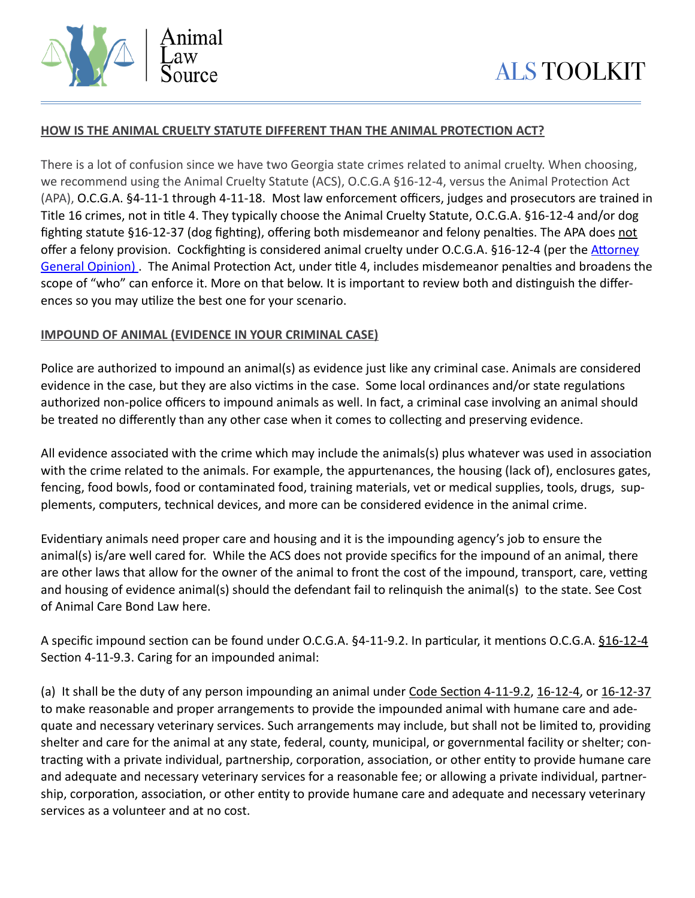

#### **HOW IS THE ANIMAL CRUELTY STATUTE DIFFERENT THAN THE ANIMAL PROTECTION ACT?**

There is a lot of confusion since we have two Georgia state crimes related to animal cruelty. When choosing, we recommend using the Animal Cruelty Statute (ACS), O.C.G.A §16-12-4, versus the Animal Protection Act (APA), O.C.G.A. §4-11-1 through 4-11-18. Most law enforcement officers, judges and prosecutors are trained in Title 16 crimes, not in title 4. They typically choose the Animal Cruelty Statute, O.C.G.A. §16-12-4 and/or dog fighting statute §16-12-37 (dog fighting), offering both misdemeanor and felony penalties. The APA does not offer a felony provision. Cockfighting is considered animal cruelty under O.C.G.A. §16-12-4 (per the Attorney General Opinion). The Animal Protection Act, under title 4, includes misdemeanor penalties and broadens the scope of "who" can enforce it. More on that below. It is important to review both and distinguish the differences so you may utilize the best one for your scenario.

#### **IMPOUND OF ANIMAL (EVIDENCE IN YOUR CRIMINAL CASE)**

Police are authorized to impound an animal(s) as evidence just like any criminal case. Animals are considered evidence in the case, but they are also victims in the case. Some local ordinances and/or state regulations authorized non-police officers to impound animals as well. In fact, a criminal case involving an animal should be treated no differently than any other case when it comes to collecting and preserving evidence.

All evidence associated with the crime which may include the animals(s) plus whatever was used in association with the crime related to the animals. For example, the appurtenances, the housing (lack of), enclosures gates, fencing, food bowls, food or contaminated food, training materials, vet or medical supplies, tools, drugs, supplements, computers, technical devices, and more can be considered evidence in the animal crime.

Evidentiary animals need proper care and housing and it is the impounding agency's job to ensure the animal(s) is/are well cared for. While the ACS does not provide specifics for the impound of an animal, there are other laws that allow for the owner of the animal to front the cost of the impound, transport, care, vetting and housing of evidence animal(s) should the defendant fail to relinquish the animal(s) to the state. See Cost of Animal Care Bond Law here.

A specific impound section can be found under O.C.G.A. §4-11-9.2. In particular, it mentions O.C.G.A. [§16-12-4](https://advance.lexis.com/document/?pdmfid=1000516&crid=e818161e-d464-4ded-8c7b-2e433e9db4c9&pddocfullpath=/shared/document/statutes-legislation/urn:contentItem:5Y3H-8391-DXHD-G07S-00000-00&pddocid=urn:contentItem:5Y3H-8391-DXHD-G07S-00000-00&pdcontentcomponentid=6306&pdteaserkey=sr1&pditab=allpods&ecomp=rpnqk&earg=sr1&prid=c92f0c1d-67c4-4134-afde-b6dc6d7e4de5) Section 4-11-9.3. Caring for an impounded animal:

(a) It shall be the duty of any person impounding an animal under Code Section 4-11-9.2, [16-12-4,](https://advance.lexis.com/document/?pdmfid=1000516&crid=e818161e-d464-4ded-8c7b-2e433e9db4c9&pddocfullpath=/shared/document/statutes-legislation/urn:contentItem:5Y3H-8391-DXHD-G07S-00000-00&pddocid=urn:contentItem:5Y3H-8391-DXHD-G07S-00000-00&pdcontentcomponentid=6306&pdteaserkey=sr1&pditab=allpods&ecomp=rpnqk&earg=sr1&prid=c92f0c1d-67c4-4134-afde-b6dc6d7e4de5) or [16-12-37](https://advance.lexis.com/document/?pdmfid=1000516&crid=e818161e-d464-4ded-8c7b-2e433e9db4c9&pddocfullpath=/shared/document/statutes-legislation/urn:contentItem:5Y3H-8391-DXHD-G07S-00000-00&pddocid=urn:contentItem:5Y3H-8391-DXHD-G07S-00000-00&pdcontentcomponentid=6306&pdteaserkey=sr1&pditab=allpods&ecomp=rpnqk&earg=sr1&prid=c92f0c1d-67c4-4134-afde-b6dc6d7e4de5) to make reasonable and proper arrangements to provide the impounded animal with humane care and adequate and necessary veterinary services. Such arrangements may include, but shall not be limited to, providing shelter and care for the animal at any state, federal, county, municipal, or governmental facility or shelter; contracting with a private individual, partnership, corporation, association, or other entity to provide humane care and adequate and necessary veterinary services for a reasonable fee; or allowing a private individual, partnership, corporation, association, or other entity to provide humane care and adequate and necessary veterinary services as a volunteer and at no cost.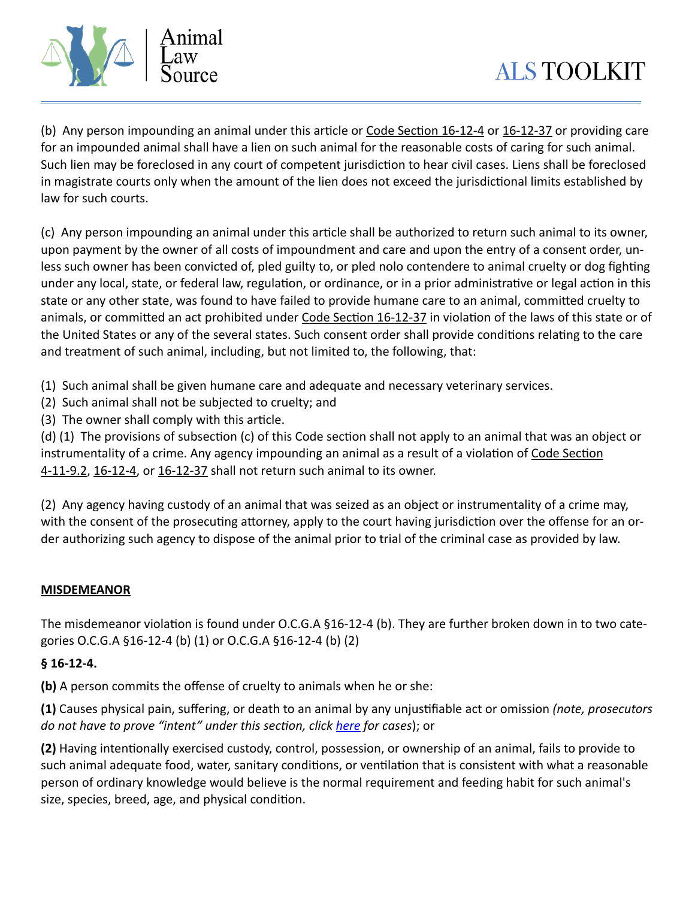

(b) Any person impounding an animal under this article or Code Section  $16-12-4$  or  $16-12-37$  or providing care for an impounded animal shall have a lien on such animal for the reasonable costs of caring for such animal. Such lien may be foreclosed in any court of competent jurisdiction to hear civil cases. Liens shall be foreclosed in magistrate courts only when the amount of the lien does not exceed the jurisdictional limits established by law for such courts.

(c) Any person impounding an animal under this article shall be authorized to return such animal to its owner, upon payment by the owner of all costs of impoundment and care and upon the entry of a consent order, unless such owner has been convicted of, pled guilty to, or pled nolo contendere to animal cruelty or dog fighting under any local, state, or federal law, regulation, or ordinance, or in a prior administrative or legal action in this state or any other state, was found to have failed to provide humane care to an animal, committed cruelty to animals, or committed an act prohibited under Code Section 16-12-37 in violation of the laws of this state or of the United States or any of the several states. Such consent order shall provide conditions relating to the care and treatment of such animal, including, but not limited to, the following, that:

(1) Such animal shall be given humane care and adequate and necessary veterinary services.

- (2) Such animal shall not be subjected to cruelty; and
- $(3)$  The owner shall comply with this article.

(d) (1) The provisions of subsection (c) of this Code section shall not apply to an animal that was an object or instrumentality of a crime. Any agency impounding an animal as a result of a violation of Code Section [4-11-9.2, 16-12-4](https://advance.lexis.com/document/?pdmfid=1000516&crid=e818161e-d464-4ded-8c7b-2e433e9db4c9&pddocfullpath=/shared/document/statutes-legislation/urn:contentItem:5Y3H-8391-DXHD-G07S-00000-00&pddocid=urn:contentItem:5Y3H-8391-DXHD-G07S-00000-00&pdcontentcomponentid=6306&pdteaserkey=sr1&pditab=allpods&ecomp=rpnqk&earg=sr1&prid=c92f0c1d-67c4-4134-afde-b6dc6d7e4de5), or [16-12-37](https://advance.lexis.com/document/?pdmfid=1000516&crid=e818161e-d464-4ded-8c7b-2e433e9db4c9&pddocfullpath=/shared/document/statutes-legislation/urn:contentItem:5Y3H-8391-DXHD-G07S-00000-00&pddocid=urn:contentItem:5Y3H-8391-DXHD-G07S-00000-00&pdcontentcomponentid=6306&pdteaserkey=sr1&pditab=allpods&ecomp=rpnqk&earg=sr1&prid=c92f0c1d-67c4-4134-afde-b6dc6d7e4de5) shall not return such animal to its owner.

(2) Any agency having custody of an animal that was seized as an object or instrumentality of a crime may, with the consent of the prosecuting attorney, apply to the court having jurisdiction over the offense for an order authorizing such agency to dispose of the animal prior to trial of the criminal case as provided by law.

# **MISDEMEANOR**

The misdemeanor violation is found under O.C.G.A  $$16-12-4$  (b). They are further broken down in to two categories O.C.G.A §16-12-4 (b) (1) or O.C.G.A §16-12-4 (b) (2)

# **§ 16-12-4.**

**(b)** A person commits the offense of cruelty to animals when he or she:

**(1)** Causes physical pain, suffering, or death to an animal by any unjustifiable act or omission *(note, prosecutors do not have to prove "intent" under this section, click here for cases*); or

**(2)** Having intentionally exercised custody, control, possession, or ownership of an animal, fails to provide to such animal adequate food, water, sanitary conditions, or ventilation that is consistent with what a reasonable person of ordinary knowledge would believe is the normal requirement and feeding habit for such animal's size, species, breed, age, and physical condition.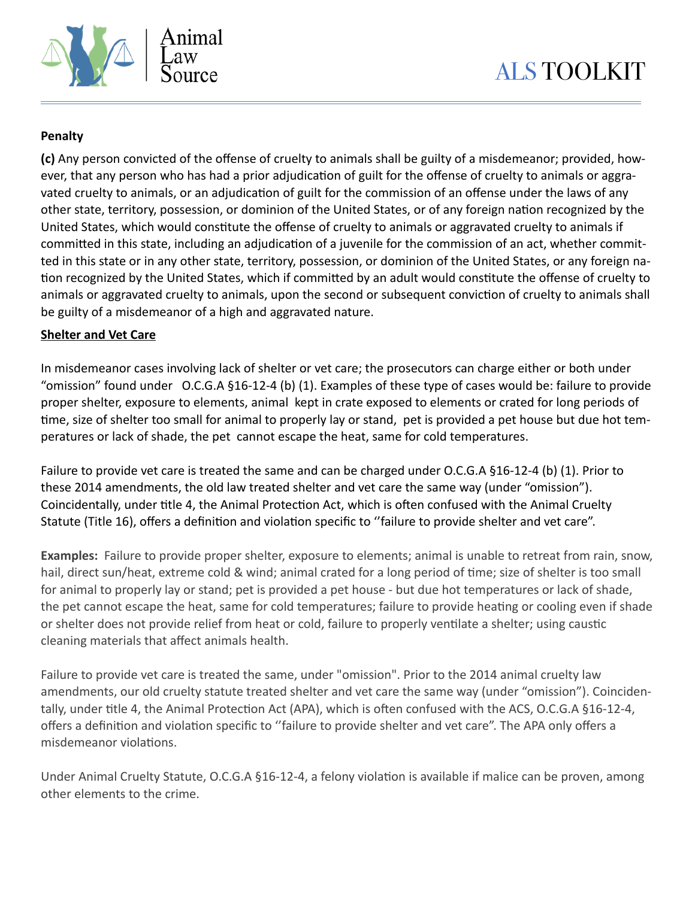

# **Penalty**

**(c)** Any person convicted of the offense of cruelty to animals shall be guilty of a misdemeanor; provided, however, that any person who has had a prior adjudication of guilt for the offense of cruelty to animals or aggravated cruelty to animals, or an adjudication of guilt for the commission of an offense under the laws of any other state, territory, possession, or dominion of the United States, or of any foreign nation recognized by the United States, which would constitute the offense of cruelty to animals or aggravated cruelty to animals if committed in this state, including an adjudication of a juvenile for the commission of an act, whether committed in this state or in any other state, territory, possession, or dominion of the United States, or any foreign na tion recognized by the United States, which if committed by an adult would constitute the offense of cruelty to animals or aggravated cruelty to animals, upon the second or subsequent conviction of cruelty to animals shall be guilty of a misdemeanor of a high and aggravated nature.

#### **Shelter and Vet Care**

In misdemeanor cases involving lack of shelter or vet care; the prosecutors can charge either or both under "omission" found under O.C.G.A §16-12-4 (b) (1). Examples of these type of cases would be: failure to provide proper shelter, exposure to elements, animal kept in crate exposed to elements or crated for long periods of time, size of shelter too small for animal to properly lay or stand, pet is provided a pet house but due hot temperatures or lack of shade, the pet cannot escape the heat, same for cold temperatures.

Failure to provide vet care is treated the same and can be charged under O.C.G.A §16-12-4 (b) (1). Prior to these 2014 amendments, the old law treated shelter and vet care the same way (under "omission"). Coincidentally, under title 4, the Animal Protection Act, which is often confused with the Animal Cruelty Statute (Title 16), offers a definition and violation specific to "failure to provide shelter and vet care".

**Examples:** Failure to provide proper shelter, exposure to elements; animal is unable to retreat from rain, snow, hail, direct sun/heat, extreme cold & wind; animal crated for a long period of time; size of shelter is too small for animal to properly lay or stand; pet is provided a pet house - but due hot temperatures or lack of shade, the pet cannot escape the heat, same for cold temperatures; failure to provide heating or cooling even if shade or shelter does not provide relief from heat or cold, failure to properly ventilate a shelter; using caustic cleaning materials that affect animals health.

Failure to provide vet care is treated the same, under "omission". Prior to the 2014 animal cruelty law amendments, our old cruelty statute treated shelter and vet care the same way (under "omission"). Coincidentally, under title 4, the Animal Protection Act (APA), which is often confused with the ACS, O.C.G.A §16-12-4, offers a definition and violation specific to "failure to provide shelter and vet care". The APA only offers a misdemeanor violations.

Under Animal Cruelty Statute, O.C.G.A §16-12-4, a felony violation is available if malice can be proven, among other elements to the crime.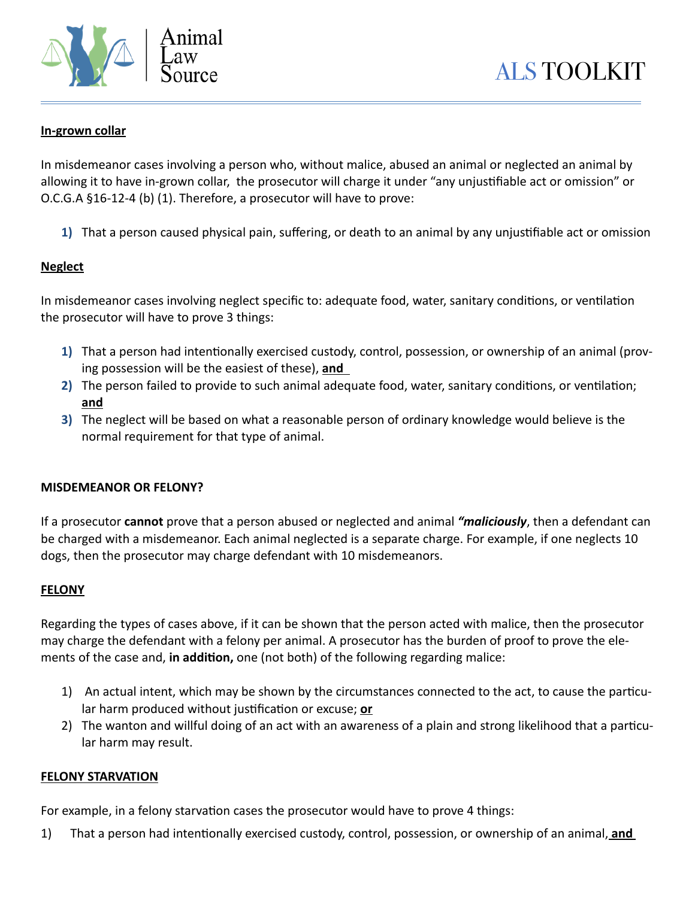

#### **In-grown collar**

In misdemeanor cases involving a person who, without malice, abused an animal or neglected an animal by allowing it to have in-grown collar, the prosecutor will charge it under "any unjustifiable act or omission" or O.C.G.A §16-12-4 (b) (1). Therefore, a prosecutor will have to prove:

**1)** That a person caused physical pain, suffering, or death to an animal by any unjustifiable act or omission

#### **Neglect**

In misdemeanor cases involving neglect specific to: adequate food, water, sanitary conditions, or ventilation the prosecutor will have to prove 3 things:

- **1)** That a person had intentionally exercised custody, control, possession, or ownership of an animal (proving possession will be the easiest of these), **and**
- **2)** The person failed to provide to such animal adequate food, water, sanitary conditions, or ventilation; **and**
- **3)** The neglect will be based on what a reasonable person of ordinary knowledge would believe is the normal requirement for that type of animal.

#### **MISDEMEANOR OR FELONY?**

If a prosecutor **cannot** prove that a person abused or neglected and animal *"maliciously*, then a defendant can be charged with a misdemeanor. Each animal neglected is a separate charge. For example, if one neglects 10 dogs, then the prosecutor may charge defendant with 10 misdemeanors.

#### **FELONY**

Regarding the types of cases above, if it can be shown that the person acted with malice, then the prosecutor may charge the defendant with a felony per animal. A prosecutor has the burden of proof to prove the elements of the case and, **in addition**, one (not both) of the following regarding malice:

- 1) An actual intent, which may be shown by the circumstances connected to the act, to cause the particular harm produced without justification or excuse; **or**
- 2) The wanton and willful doing of an act with an awareness of a plain and strong likelihood that a particular harm may result.

#### **FELONY STARVATION**

For example, in a felony starvation cases the prosecutor would have to prove 4 things:

1) That a person had intentionally exercised custody, control, possession, or ownership of an animal, **and**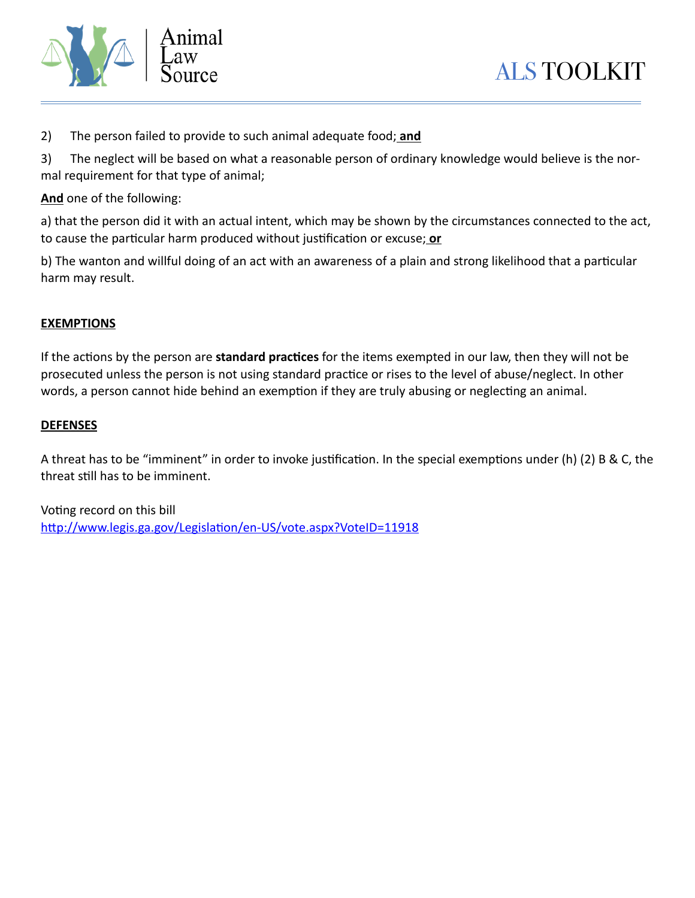

2) The person failed to provide to such animal adequate food; **and**

3) The neglect will be based on what a reasonable person of ordinary knowledge would believe is the normal requirement for that type of animal;

**And** one of the following:

a) that the person did it with an actual intent, which may be shown by the circumstances connected to the act, to cause the particular harm produced without justification or excuse; or

b) The wanton and willful doing of an act with an awareness of a plain and strong likelihood that a particular harm may result.

#### **EXEMPTIONS**

If the actions by the person are **standard practices** for the items exempted in our law, then they will not be prosecuted unless the person is not using standard practice or rises to the level of abuse/neglect. In other words, a person cannot hide behind an exemption if they are truly abusing or neglecting an animal.

#### **DEFENSES**

A threat has to be "imminent" in order to invoke justification. In the special exemptions under (h) (2) B & C, the threat still has to be imminent.

Voting record on this bill http://www.legis.ga.gov/Legislation/en-US/vote.aspx?VoteID=11918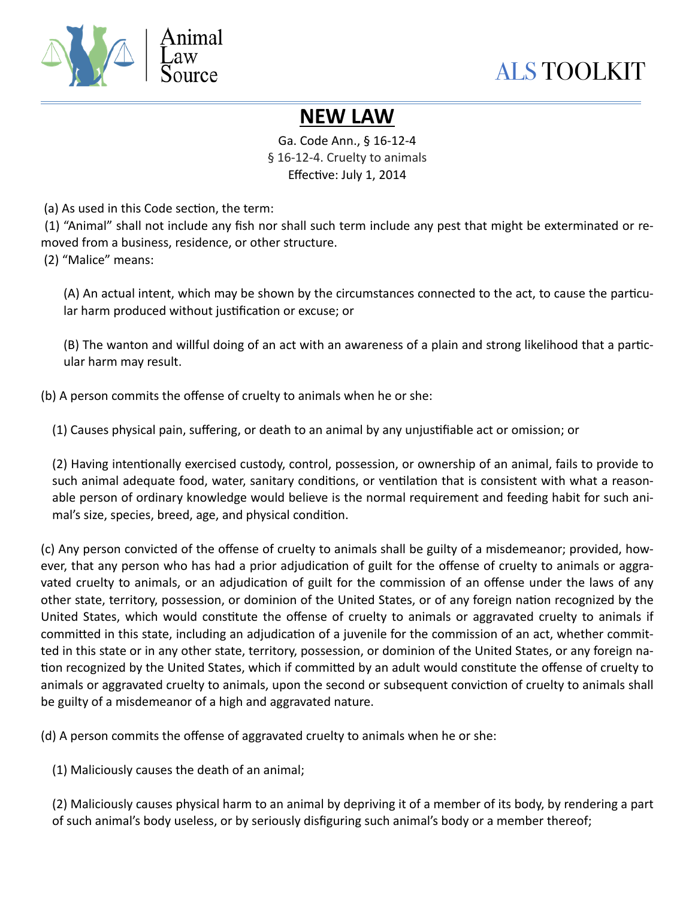

# **NEW LAW**

Ga. Code Ann., § 16-12-4 § 16-12-4. Cruelty to animals Effective: July 1, 2014

(a) As used in this Code section, the term:

 (1) "Animal" shall not include any fish nor shall such term include any pest that might be exterminated or removed from a business, residence, or other structure.

(2) "Malice" means:

(A) An actual intent, which may be shown by the circumstances connected to the act, to cause the particular harm produced without justification or excuse; or

(B) The wanton and willful doing of an act with an awareness of a plain and strong likelihood that a particular harm may result.

(b) A person commits the offense of cruelty to animals when he or she:

(1) Causes physical pain, suffering, or death to an animal by any unjustifiable act or omission; or

(2) Having intentionally exercised custody, control, possession, or ownership of an animal, fails to provide to such animal adequate food, water, sanitary conditions, or ventilation that is consistent with what a reasonable person of ordinary knowledge would believe is the normal requirement and feeding habit for such animal's size, species, breed, age, and physical condition.

(c) Any person convicted of the offense of cruelty to animals shall be guilty of a misdemeanor; provided, however, that any person who has had a prior adjudication of guilt for the offense of cruelty to animals or aggravated cruelty to animals, or an adjudication of guilt for the commission of an offense under the laws of any other state, territory, possession, or dominion of the United States, or of any foreign nation recognized by the United States, which would constitute the offense of cruelty to animals or aggravated cruelty to animals if committed in this state, including an adjudication of a juvenile for the commission of an act, whether committed in this state or in any other state, territory, possession, or dominion of the United States, or any foreign na tion recognized by the United States, which if committed by an adult would constitute the offense of cruelty to animals or aggravated cruelty to animals, upon the second or subsequent conviction of cruelty to animals shall be guilty of a misdemeanor of a high and aggravated nature.

(d) A person commits the offense of aggravated cruelty to animals when he or she:

(1) Maliciously causes the death of an animal;

(2) Maliciously causes physical harm to an animal by depriving it of a member of its body, by rendering a part of such animal's body useless, or by seriously disfiguring such animal's body or a member thereof;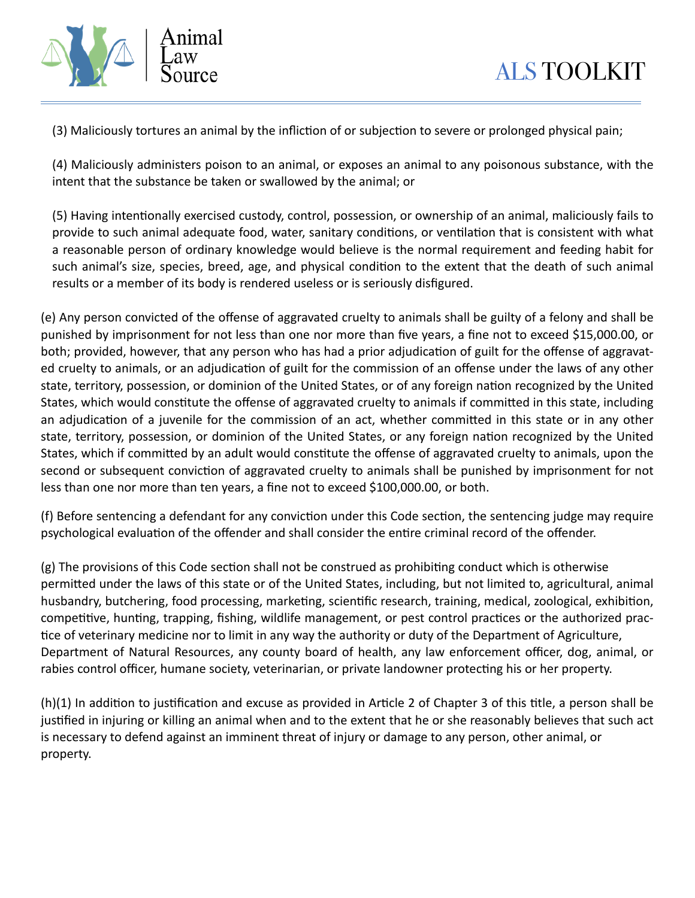



(3) Maliciously tortures an animal by the infliction of or subjection to severe or prolonged physical pain;

(4) Maliciously administers poison to an animal, or exposes an animal to any poisonous substance, with the intent that the substance be taken or swallowed by the animal; or

(5) Having intentionally exercised custody, control, possession, or ownership of an animal, maliciously fails to provide to such animal adequate food, water, sanitary conditions, or ventilation that is consistent with what a reasonable person of ordinary knowledge would believe is the normal requirement and feeding habit for such animal's size, species, breed, age, and physical condition to the extent that the death of such animal results or a member of its body is rendered useless or is seriously disfigured.

(e) Any person convicted of the offense of aggravated cruelty to animals shall be guilty of a felony and shall be punished by imprisonment for not less than one nor more than five years, a fine not to exceed \$15,000.00, or both; provided, however, that any person who has had a prior adjudication of guilt for the offense of aggravated cruelty to animals, or an adjudication of guilt for the commission of an offense under the laws of any other state, territory, possession, or dominion of the United States, or of any foreign nation recognized by the United States, which would constitute the offense of aggravated cruelty to animals if committed in this state, including an adjudication of a juvenile for the commission of an act, whether committed in this state or in any other state, territory, possession, or dominion of the United States, or any foreign nation recognized by the United States, which if committed by an adult would constitute the offense of aggravated cruelty to animals, upon the second or subsequent conviction of aggravated cruelty to animals shall be punished by imprisonment for not less than one nor more than ten years, a fine not to exceed \$100,000.00, or both.

(f) Before sentencing a defendant for any conviction under this Code section, the sentencing judge may require psychological evaluation of the offender and shall consider the entire criminal record of the offender.

(g) The provisions of this Code section shall not be construed as prohibiting conduct which is otherwise permitted under the laws of this state or of the United States, including, but not limited to, agricultural, animal husbandry, butchering, food processing, marketing, scientific research, training, medical, zoological, exhibition, competitive, hunting, trapping, fishing, wildlife management, or pest control practices or the authorized practice of veterinary medicine nor to limit in any way the authority or duty of the Department of Agriculture, Department of Natural Resources, any county board of health, any law enforcement officer, dog, animal, or rabies control officer, humane society, veterinarian, or private landowner protecting his or her property.

 $(h)(1)$  In addition to justification and excuse as provided in Article 2 of Chapter 3 of this title, a person shall be justified in injuring or killing an animal when and to the extent that he or she reasonably believes that such act is necessary to defend against an imminent threat of injury or damage to any person, other animal, or property.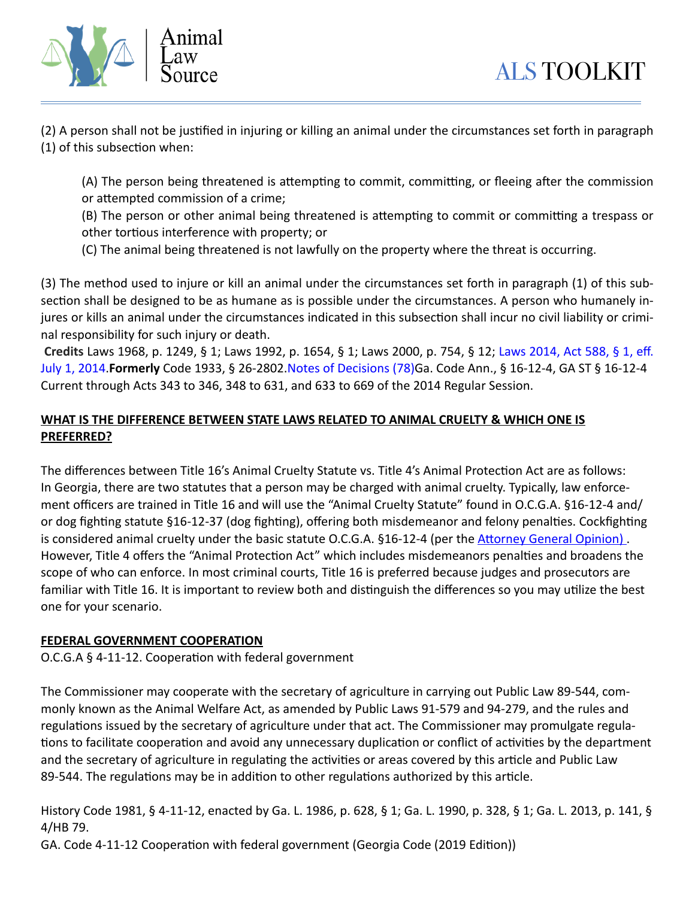

(2) A person shall not be justified in injuring or killing an animal under the circumstances set forth in paragraph  $(1)$  of this subsection when:

(A) The person being threatened is attempting to commit, committing, or fleeing after the commission or attempted commission of a crime;

(B) The person or other animal being threatened is attempting to commit or committing a trespass or other tortious interference with property; or

(C) The animal being threatened is not lawfully on the property where the threat is occurring.

(3) The method used to injure or kill an animal under the circumstances set forth in paragraph (1) of this subsection shall be designed to be as humane as is possible under the circumstances. A person who humanely injures or kills an animal under the circumstances indicated in this subsection shall incur no civil liability or criminal responsibility for such injury or death.

**Credits** Laws 1968, p. 1249, § 1; Laws 1992, p. 1654, § 1; Laws 2000, p. 754, § 12; [Laws 2014, Act 588, § 1, eff.](http://www.westlaw.com/Link/Document/FullText?findType=l&pubNum=1077005&cite=UUID(I4A940580D5-0E11E390D9B-E90265AAB64)&originationContext=document&vr=3.0&rs=cblt1.0&transitionType=DocumentItem&contextData=(sc.UserEnteredCitation))  [July 1, 2014](http://www.westlaw.com/Link/Document/FullText?findType=l&pubNum=1077005&cite=UUID(I4A940580D5-0E11E390D9B-E90265AAB64)&originationContext=document&vr=3.0&rs=cblt1.0&transitionType=DocumentItem&contextData=(sc.UserEnteredCitation)).**Formerly** Code 1933, § 26-2802[.Notes of Decisions \(78\)](http://www.westlaw.com/Link/RelatedInformation/NotesofDecisions?docGuid=NA49243C0E54511E3AFC0C4D6626B95F4&originationContext=document&vr=3.0&rs=cblt1.0&transitionType=NotesOfDecision&contextData=(sc.UserEnteredCitation))Ga. Code Ann., § 16-12-4, GA ST § 16-12-4 Current through Acts 343 to 346, 348 to 631, and 633 to 669 of the 2014 Regular Session.

# **WHAT IS THE DIFFERENCE BETWEEN STATE LAWS RELATED TO ANIMAL CRUELTY & WHICH ONE IS PREFERRED?**

The differences between Title 16's Animal Cruelty Statute vs. Title 4's Animal Protection Act are as follows: In Georgia, there are two statutes that a person may be charged with animal cruelty. Typically, law enforcement officers are trained in Title 16 and will use the "Animal Cruelty Statute" found in O.C.G.A. §16-12-4 and/ or dog fighting statute §16-12-37 (dog fighting), offering both misdemeanor and felony penalties. Cockfighting is considered animal cruelty under the basic statute O.C.G.A. §16-12-4 (per the Attorney General Opinion). However, Title 4 offers the "Animal Protection Act" which includes misdemeanors penalties and broadens the scope of who can enforce. In most criminal courts, Title 16 is preferred because judges and prosecutors are familiar with Title 16. It is important to review both and distinguish the differences so you may utilize the best one for your scenario.

# **FEDERAL GOVERNMENT COOPERATION**

O.C.G.A  $\S$  4-11-12. Cooperation with federal government

The Commissioner may cooperate with the secretary of agriculture in carrying out Public Law 89-544, commonly known as the Animal Welfare Act, as amended by Public Laws 91-579 and 94-279, and the rules and regulations issued by the secretary of agriculture under that act. The Commissioner may promulgate regulations to facilitate cooperation and avoid any unnecessary duplication or conflict of activities by the department and the secretary of agriculture in regulating the activities or areas covered by this article and Public Law 89-544. The regulations may be in addition to other regulations authorized by this article.

History Code 1981, § 4-11-12, enacted by Ga. L. 1986, p. 628, § 1; Ga. L. 1990, p. 328, § 1; Ga. L. 2013, p. 141, § 4/HB 79.

GA. Code 4-11-12 Cooperation with federal government (Georgia Code (2019 Edition))